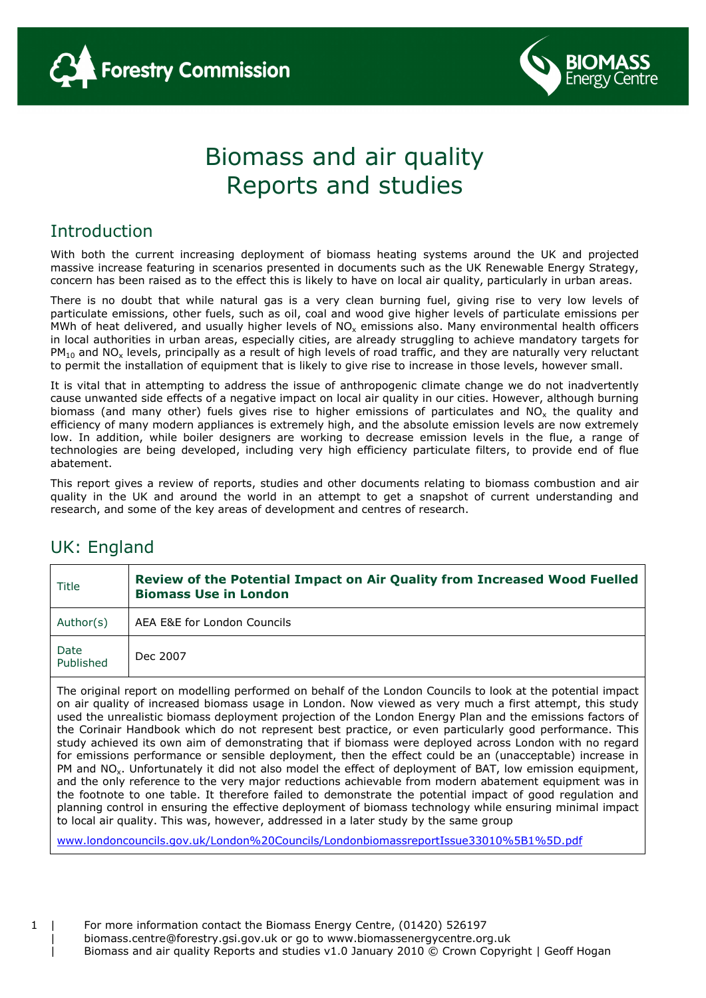



#### Introduction

With both the current increasing deployment of biomass heating systems around the UK and projected massive increase featuring in scenarios presented in documents such as the UK Renewable Energy Strategy, concern has been raised as to the effect this is likely to have on local air quality, particularly in urban areas.

There is no doubt that while natural gas is a very clean burning fuel, giving rise to very low levels of particulate emissions, other fuels, such as oil, coal and wood give higher levels of particulate emissions per MWh of heat delivered, and usually higher levels of  $NO<sub>x</sub>$  emissions also. Many environmental health officers in local authorities in urban areas, especially cities, are already struggling to achieve mandatory targets for  $PM_{10}$  and NO<sub>x</sub> levels, principally as a result of high levels of road traffic, and they are naturally very reluctant to permit the installation of equipment that is likely to give rise to increase in those levels, however small.

It is vital that in attempting to address the issue of anthropogenic climate change we do not inadvertently cause unwanted side effects of a negative impact on local air quality in our cities. However, although burning biomass (and many other) fuels gives rise to higher emissions of particulates and  $NO<sub>x</sub>$  the quality and efficiency of many modern appliances is extremely high, and the absolute emission levels are now extremely low. In addition, while boiler designers are working to decrease emission levels in the flue, a range of technologies are being developed, including very high efficiency particulate filters, to provide end of flue abatement.

This report gives a review of reports, studies and other documents relating to biomass combustion and air quality in the UK and around the world in an attempt to get a snapshot of current understanding and research, and some of the key areas of development and centres of research.

#### UK: England

| Title             | Review of the Potential Impact on Air Quality from Increased Wood Fuelled<br><b>Biomass Use in London</b> |
|-------------------|-----------------------------------------------------------------------------------------------------------|
| Author(s)         | AEA E&E for London Councils                                                                               |
| Date<br>Published | Dec 2007                                                                                                  |
|                   |                                                                                                           |

The original report on modelling performed on behalf of the London Councils to look at the potential impact on air quality of increased biomass usage in London. Now viewed as very much a first attempt, this study used the unrealistic biomass deployment projection of the London Energy Plan and the emissions factors of the Corinair Handbook which do not represent best practice, or even particularly good performance. This study achieved its own aim of demonstrating that if biomass were deployed across London with no regard for emissions performance or sensible deployment, then the effect could be an (unacceptable) increase in PM and NO<sub>x</sub>. Unfortunately it did not also model the effect of deployment of BAT, low emission equipment, and the only reference to the very major reductions achievable from modern abatement equipment was in the footnote to one table. It therefore failed to demonstrate the potential impact of good regulation and planning control in ensuring the effective deployment of biomass technology while ensuring minimal impact to local air quality. This was, however, addressed in a later study by the same group

www.londoncouncils.gov.uk/London%20Councils/LondonbiomassreportIssue33010%5B1%5D.pdf

| biomass.centre@forestry.gsi.gov.uk or go to www.biomassenergycentre.org.uk

Biomass and air quality Reports and studies v1.0 January 2010 © Crown Copyright | Geoff Hogan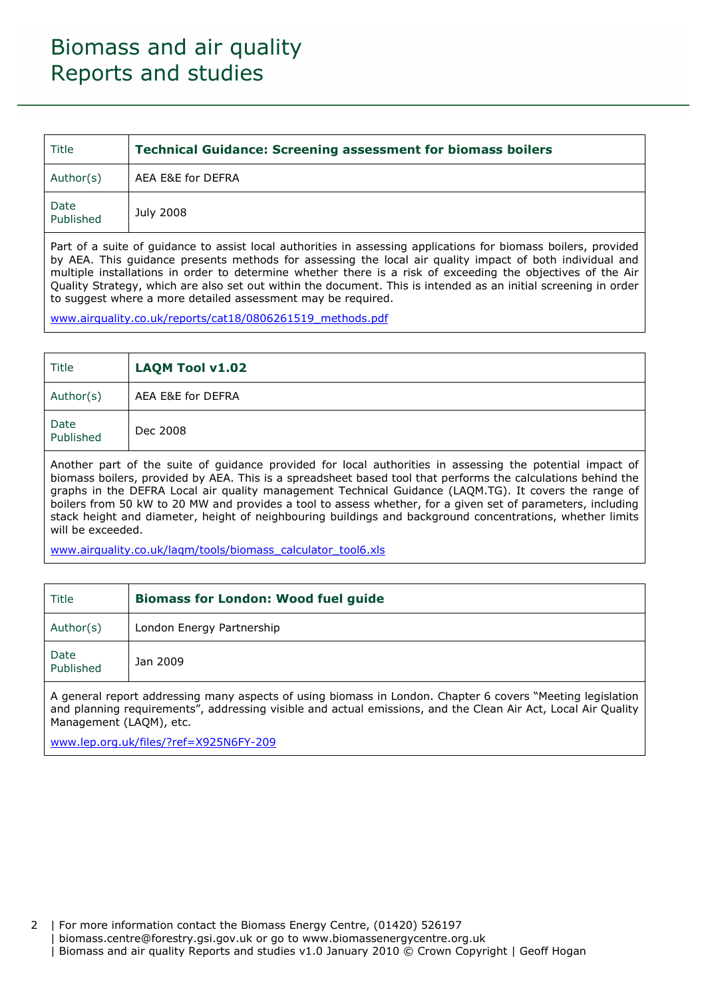| Title             | <b>Technical Guidance: Screening assessment for biomass boilers</b> |
|-------------------|---------------------------------------------------------------------|
| Author(s)         | AEA E&E for DEFRA                                                   |
| Date<br>Published | July 2008                                                           |

Part of a suite of guidance to assist local authorities in assessing applications for biomass boilers, provided by AEA. This guidance presents methods for assessing the local air quality impact of both individual and multiple installations in order to determine whether there is a risk of exceeding the objectives of the Air Quality Strategy, which are also set out within the document. This is intended as an initial screening in order to suggest where a more detailed assessment may be required.

www.airquality.co.uk/reports/cat18/0806261519\_methods.pdf

| Title             | LAQM Tool v1.02   |
|-------------------|-------------------|
| Author(s)         | AEA E&E for DEFRA |
| Date<br>Published | Dec 2008          |

Another part of the suite of guidance provided for local authorities in assessing the potential impact of biomass boilers, provided by AEA. This is a spreadsheet based tool that performs the calculations behind the graphs in the DEFRA Local air quality management Technical Guidance (LAQM.TG). It covers the range of boilers from 50 kW to 20 MW and provides a tool to assess whether, for a given set of parameters, including stack height and diameter, height of neighbouring buildings and background concentrations, whether limits will be exceeded.

www.airquality.co.uk/laqm/tools/biomass\_calculator\_tool6.xls

| Title                                                                                                                                                                                                                                                  | <b>Biomass for London: Wood fuel guide</b> |  |  |
|--------------------------------------------------------------------------------------------------------------------------------------------------------------------------------------------------------------------------------------------------------|--------------------------------------------|--|--|
| Author(s)                                                                                                                                                                                                                                              | London Energy Partnership                  |  |  |
| Date<br>Published                                                                                                                                                                                                                                      | Jan 2009                                   |  |  |
| A general report addressing many aspects of using biomass in London. Chapter 6 covers "Meeting legislation<br>and planning requirements", addressing visible and actual emissions, and the Clean Air Act, Local Air Quality<br>Management (LAQM), etc. |                                            |  |  |

www.lep.org.uk/files/?ref=X925N6FY-209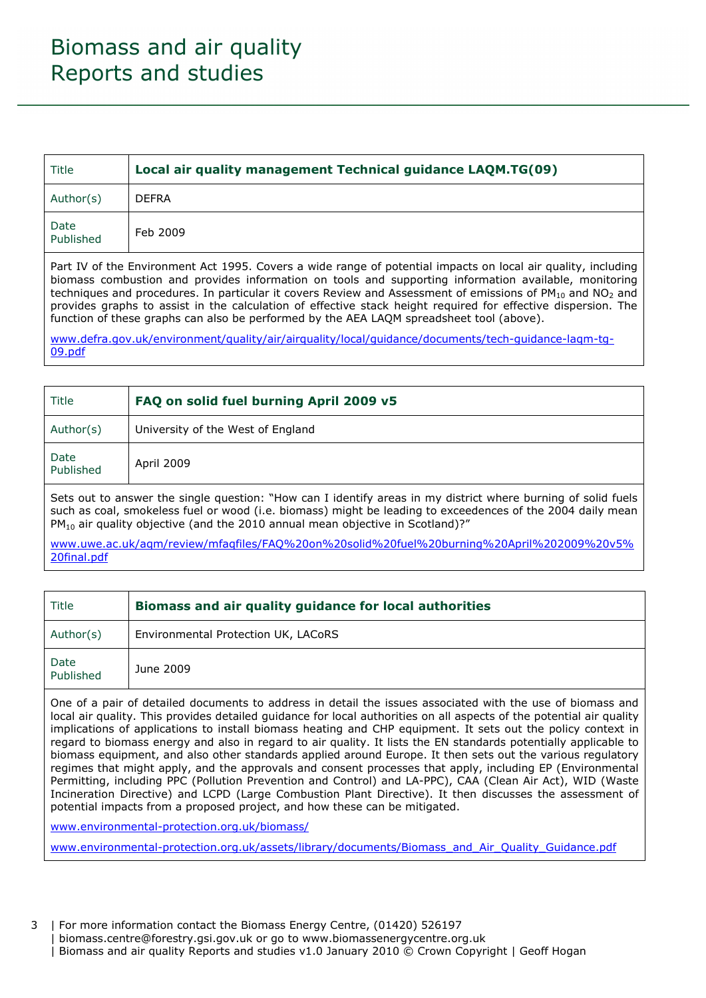| Title                                                                                                         | Local air quality management Technical guidance LAQM.TG(09) |
|---------------------------------------------------------------------------------------------------------------|-------------------------------------------------------------|
| Author(s)                                                                                                     | <b>DEFRA</b>                                                |
| Date<br>Published                                                                                             | Feb 2009                                                    |
| Part IV of the Environment Act 1995. Covers a wide range of potential impacts on local air quality, including |                                                             |

biomass combustion and provides information on tools and supporting information available, monitoring techniques and procedures. In particular it covers Review and Assessment of emissions of  $PM_{10}$  and NO<sub>2</sub> and provides graphs to assist in the calculation of effective stack height required for effective dispersion. The function of these graphs can also be performed by the AEA LAQM spreadsheet tool (above).

www.defra.gov.uk/environment/quality/air/airquality/local/guidance/documents/tech-guidance-laqm-tg-09.pdf

| Title             | FAQ on solid fuel burning April 2009 v5 |
|-------------------|-----------------------------------------|
| Author(s)         | University of the West of England       |
| Date<br>Published | April 2009                              |

Sets out to answer the single question: "How can I identify areas in my district where burning of solid fuels such as coal, smokeless fuel or wood (i.e. biomass) might be leading to exceedences of the 2004 daily mean PM<sub>10</sub> air quality objective (and the 2010 annual mean objective in Scotland)?"

www.uwe.ac.uk/aqm/review/mfaqfiles/FAQ%20on%20solid%20fuel%20burning%20April%202009%20v5% 20final.pdf

| Title             | Biomass and air quality guidance for local authorities |
|-------------------|--------------------------------------------------------|
| Author(s)         | Environmental Protection UK, LACoRS                    |
| Date<br>Published | June 2009                                              |

One of a pair of detailed documents to address in detail the issues associated with the use of biomass and local air quality. This provides detailed guidance for local authorities on all aspects of the potential air quality implications of applications to install biomass heating and CHP equipment. It sets out the policy context in regard to biomass energy and also in regard to air quality. It lists the EN standards potentially applicable to biomass equipment, and also other standards applied around Europe. It then sets out the various regulatory regimes that might apply, and the approvals and consent processes that apply, including EP (Environmental Permitting, including PPC (Pollution Prevention and Control) and LA-PPC), CAA (Clean Air Act), WID (Waste Incineration Directive) and LCPD (Large Combustion Plant Directive). It then discusses the assessment of potential impacts from a proposed project, and how these can be mitigated.

www.environmental-protection.org.uk/biomass/

www.environmental-protection.org.uk/assets/library/documents/Biomass\_and\_Air\_Quality\_Guidance.pdf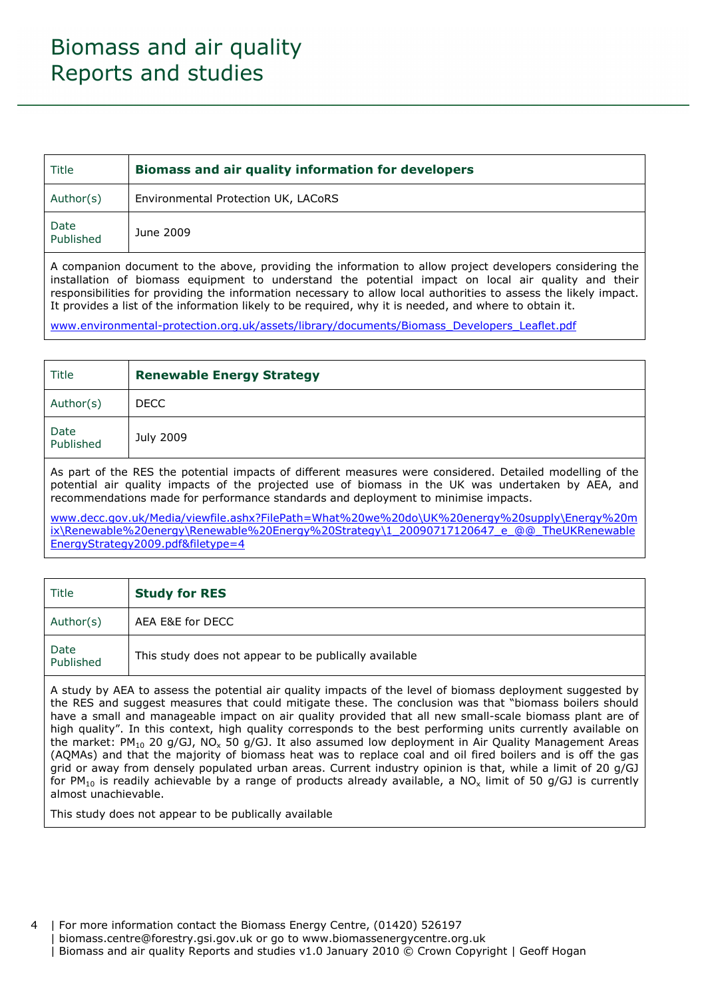| Title                                                                                                    | Biomass and air quality information for developers |
|----------------------------------------------------------------------------------------------------------|----------------------------------------------------|
| Author(s)                                                                                                | Environmental Protection UK, LACoRS                |
| Date<br>Published                                                                                        | June 2009                                          |
| A companion document to the above, providing the information to allow project developers considering the |                                                    |

installation of biomass equipment to understand the potential impact on local air quality and their responsibilities for providing the information necessary to allow local authorities to assess the likely impact. It provides a list of the information likely to be required, why it is needed, and where to obtain it.

www.environmental-protection.org.uk/assets/library/documents/Biomass\_Developers\_Leaflet.pdf

| Title                                                                                                                                                                                                                                                                                                 | <b>Renewable Energy Strategy</b> |
|-------------------------------------------------------------------------------------------------------------------------------------------------------------------------------------------------------------------------------------------------------------------------------------------------------|----------------------------------|
| Author(s)                                                                                                                                                                                                                                                                                             | <b>DECC</b>                      |
| Date<br>Published                                                                                                                                                                                                                                                                                     | July 2009                        |
| As part of the RES the potential impacts of different measures were considered. Detailed modelling of the<br>potential air quality impacts of the projected use of biomass in the UK was undertaken by AEA, and<br>recommendations made for performance standards and deployment to minimise impacts. |                                  |

www.decc.gov.uk/Media/viewfile.ashx?FilePath=What%20we%20do\UK%20energy%20supply\Energy%20m ix\Renewable%20energy\Renewable%20Energy%20Strategy\1\_20090717120647\_e\_@@\_TheUKRenewable EnergyStrategy2009.pdf&filetype=4

| Title             | <b>Study for RES</b>                                  |
|-------------------|-------------------------------------------------------|
| Author(s)         | AEA E&E for DECC                                      |
| Date<br>Published | This study does not appear to be publically available |

A study by AEA to assess the potential air quality impacts of the level of biomass deployment suggested by the RES and suggest measures that could mitigate these. The conclusion was that "biomass boilers should have a small and manageable impact on air quality provided that all new small-scale biomass plant are of high quality". In this context, high quality corresponds to the best performing units currently available on the market: PM<sub>10</sub> 20 g/GJ, NO<sub>x</sub> 50 g/GJ. It also assumed low deployment in Air Quality Management Areas (AQMAs) and that the majority of biomass heat was to replace coal and oil fired boilers and is off the gas grid or away from densely populated urban areas. Current industry opinion is that, while a limit of 20 g/GJ for PM<sub>10</sub> is readily achievable by a range of products already available, a NO<sub>x</sub> limit of 50 g/GJ is currently almost unachievable.

This study does not appear to be publically available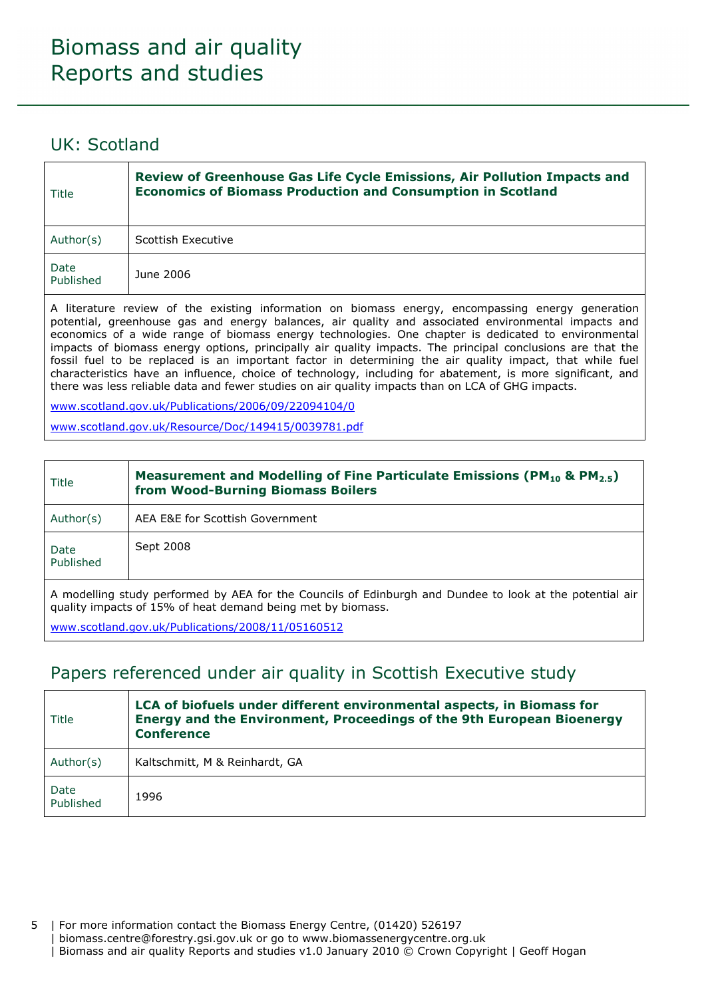#### UK: Scotland

| Title             | Review of Greenhouse Gas Life Cycle Emissions, Air Pollution Impacts and<br><b>Economics of Biomass Production and Consumption in Scotland</b> |
|-------------------|------------------------------------------------------------------------------------------------------------------------------------------------|
| Author(s)         | Scottish Executive                                                                                                                             |
| Date<br>Published | June 2006                                                                                                                                      |
|                   |                                                                                                                                                |

A literature review of the existing information on biomass energy, encompassing energy generation potential, greenhouse gas and energy balances, air quality and associated environmental impacts and economics of a wide range of biomass energy technologies. One chapter is dedicated to environmental impacts of biomass energy options, principally air quality impacts. The principal conclusions are that the fossil fuel to be replaced is an important factor in determining the air quality impact, that while fuel characteristics have an influence, choice of technology, including for abatement, is more significant, and there was less reliable data and fewer studies on air quality impacts than on LCA of GHG impacts.

www.scotland.gov.uk/Publications/2006/09/22094104/0

www.scotland.gov.uk/Resource/Doc/149415/0039781.pdf

| Title                                                                                                                                                                   | Measurement and Modelling of Fine Particulate Emissions (PM <sub>10</sub> & PM <sub>2.5</sub> )<br>from Wood-Burning Biomass Boilers |
|-------------------------------------------------------------------------------------------------------------------------------------------------------------------------|--------------------------------------------------------------------------------------------------------------------------------------|
| Author(s)                                                                                                                                                               | AEA E&E for Scottish Government                                                                                                      |
| Date<br>Published                                                                                                                                                       | Sept 2008                                                                                                                            |
| A modelling study performed by AEA for the Councils of Edinburgh and Dundee to look at the potential air<br>quality impacts of 15% of heat demand being met by biomass. |                                                                                                                                      |

www.scotland.gov.uk/Publications/2008/11/05160512

#### Papers referenced under air quality in Scottish Executive study

| Title             | LCA of biofuels under different environmental aspects, in Biomass for<br>Energy and the Environment, Proceedings of the 9th European Bioenergy<br><b>Conference</b> |
|-------------------|---------------------------------------------------------------------------------------------------------------------------------------------------------------------|
| Author(s)         | Kaltschmitt, M & Reinhardt, GA                                                                                                                                      |
| Date<br>Published | 1996                                                                                                                                                                |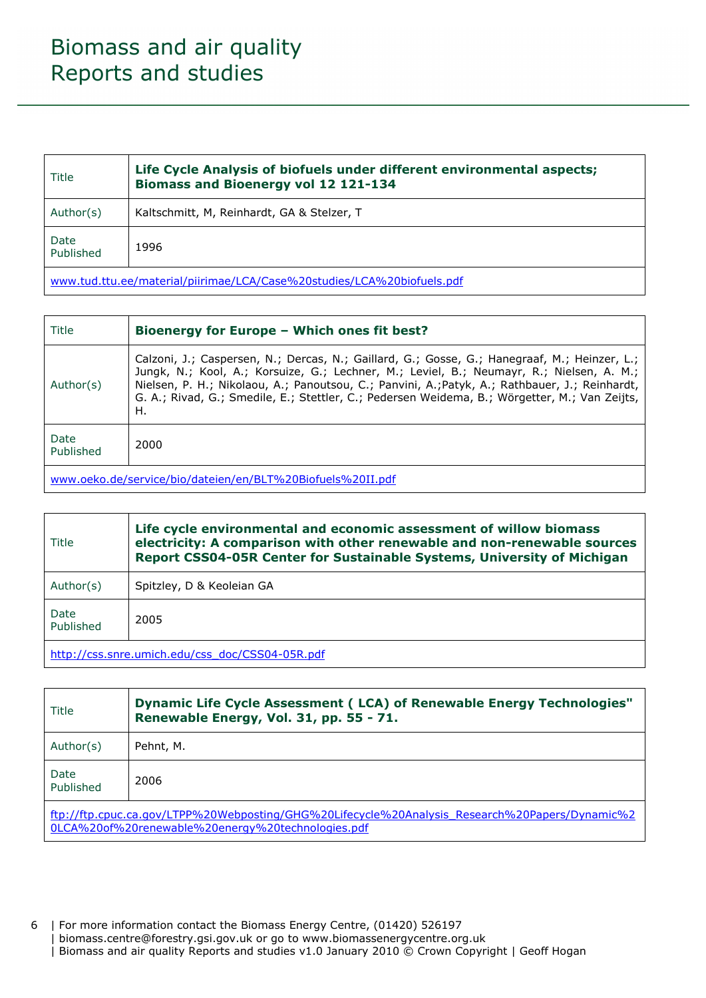| Title                                                                  | Life Cycle Analysis of biofuels under different environmental aspects;<br><b>Biomass and Bioenergy vol 12 121-134</b> |
|------------------------------------------------------------------------|-----------------------------------------------------------------------------------------------------------------------|
| Author(s)                                                              | Kaltschmitt, M, Reinhardt, GA & Stelzer, T                                                                            |
| Date<br>Published                                                      | 1996                                                                                                                  |
| www.tud.ttu.ee/material/piirimae/LCA/Case%20studies/LCA%20biofuels.pdf |                                                                                                                       |

| Title                                                      | Bioenergy for Europe - Which ones fit best?                                                                                                                                                                                                                                                                                                                                                       |
|------------------------------------------------------------|---------------------------------------------------------------------------------------------------------------------------------------------------------------------------------------------------------------------------------------------------------------------------------------------------------------------------------------------------------------------------------------------------|
| Author(s)                                                  | Calzoni, J.; Caspersen, N.; Dercas, N.; Gaillard, G.; Gosse, G.; Hanegraaf, M.; Heinzer, L.;<br>Jungk, N.; Kool, A.; Korsuize, G.; Lechner, M.; Leviel, B.; Neumayr, R.; Nielsen, A. M.;<br>Nielsen, P. H.; Nikolaou, A.; Panoutsou, C.; Panvini, A.; Patyk, A.; Rathbauer, J.; Reinhardt,<br>G. A.; Rivad, G.; Smedile, E.; Stettler, C.; Pedersen Weidema, B.; Wörgetter, M.; Van Zeijts,<br>Η. |
| Date<br>Published                                          | 2000                                                                                                                                                                                                                                                                                                                                                                                              |
| www.oeko.de/service/bio/dateien/en/BLT%20Biofuels%20II.pdf |                                                                                                                                                                                                                                                                                                                                                                                                   |

| Title             | Life cycle environmental and economic assessment of willow biomass<br>electricity: A comparison with other renewable and non-renewable sources<br>Report CSS04-05R Center for Sustainable Systems, University of Michigan |
|-------------------|---------------------------------------------------------------------------------------------------------------------------------------------------------------------------------------------------------------------------|
| Author(s)         | Spitzley, D & Keoleian GA                                                                                                                                                                                                 |
| Date<br>Published | 2005                                                                                                                                                                                                                      |
|                   |                                                                                                                                                                                                                           |

http://css.snre.umich.edu/css\_doc/CSS04-05R.pdf

| Title                                                                                                                                               | Dynamic Life Cycle Assessment (LCA) of Renewable Energy Technologies"<br>Renewable Energy, Vol. 31, pp. 55 - 71. |
|-----------------------------------------------------------------------------------------------------------------------------------------------------|------------------------------------------------------------------------------------------------------------------|
| Author(s)                                                                                                                                           | Pehnt, M.                                                                                                        |
| Date<br>Published                                                                                                                                   | 2006                                                                                                             |
| ftp://ftp.cpuc.ca.gov/LTPP%20Webposting/GHG%20Lifecycle%20Analysis Research%20Papers/Dynamic%2<br>0LCA%20of%20renewable%20energy%20technologies.pdf |                                                                                                                  |

6 | For more information contact the Biomass Energy Centre, (01420) 526197 | biomass.centre@forestry.gsi.gov.uk or go to www.biomassenergycentre.org.uk | Biomass and air quality Reports and studies v1.0 January 2010 © Crown Copyright | Geoff Hogan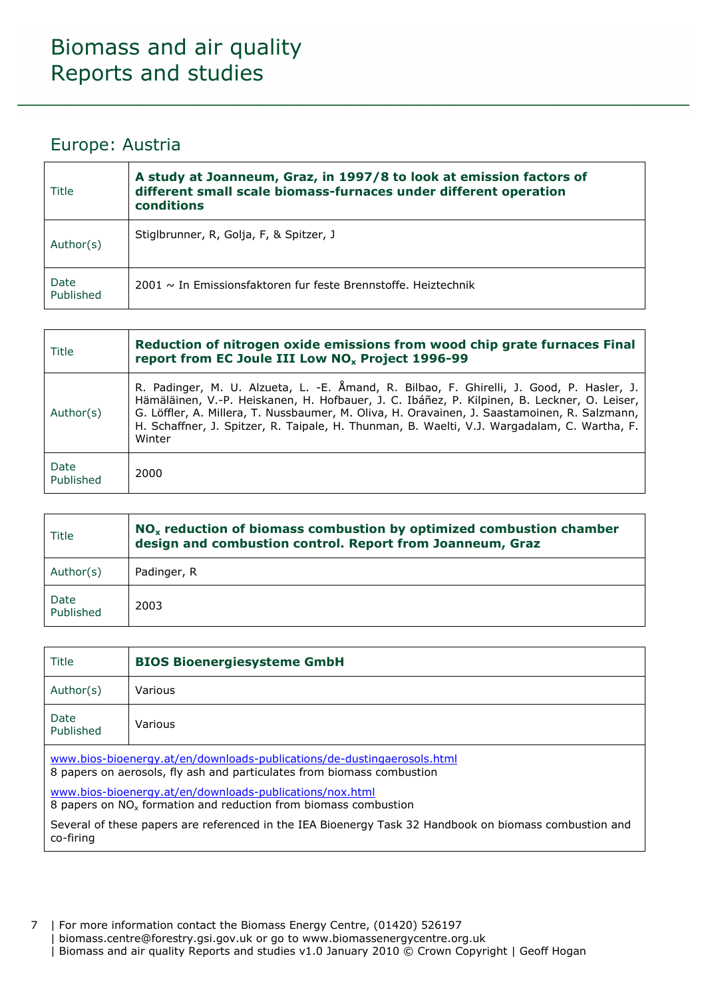#### Europe: Austria

| Title             | A study at Joanneum, Graz, in 1997/8 to look at emission factors of<br>different small scale biomass-furnaces under different operation<br>conditions |
|-------------------|-------------------------------------------------------------------------------------------------------------------------------------------------------|
| Author(s)         | Stiglbrunner, R, Golja, F, & Spitzer, J                                                                                                               |
| Date<br>Published | 2001 $\sim$ In Emissionsfaktoren fur feste Brennstoffe. Heiztechnik                                                                                   |

| Title             | Reduction of nitrogen oxide emissions from wood chip grate furnaces Final<br>report from EC Joule III Low NO <sub>x</sub> Project 1996-99                                                                                                                                                                                                                                                        |
|-------------------|--------------------------------------------------------------------------------------------------------------------------------------------------------------------------------------------------------------------------------------------------------------------------------------------------------------------------------------------------------------------------------------------------|
| Author(s)         | R. Padinger, M. U. Alzueta, L. -E. Åmand, R. Bilbao, F. Ghirelli, J. Good, P. Hasler, J.<br>Hämäläinen, V.-P. Heiskanen, H. Hofbauer, J. C. Ibáñez, P. Kilpinen, B. Leckner, O. Leiser,<br>G. Löffler, A. Millera, T. Nussbaumer, M. Oliva, H. Oravainen, J. Saastamoinen, R. Salzmann,<br>H. Schaffner, J. Spitzer, R. Taipale, H. Thunman, B. Waelti, V.J. Wargadalam, C. Wartha, F.<br>Winter |
| Date<br>Published | 2000                                                                                                                                                                                                                                                                                                                                                                                             |

| Title             | NO <sub>x</sub> reduction of biomass combustion by optimized combustion chamber<br>design and combustion control. Report from Joanneum, Graz |
|-------------------|----------------------------------------------------------------------------------------------------------------------------------------------|
| Author(s)         | Padinger, R                                                                                                                                  |
| Date<br>Published | 2003                                                                                                                                         |

| Title             | <b>BIOS Bioenergiesysteme GmbH</b> |
|-------------------|------------------------------------|
| Author(s)         | Various                            |
| Date<br>Published | Various                            |

www.bios-bioenergy.at/en/downloads-publications/de-dustingaerosols.html 8 papers on aerosols, fly ash and particulates from biomass combustion

www.bios-bioenergy.at/en/downloads-publications/nox.html 8 papers on  $NO_x$  formation and reduction from biomass combustion

Several of these papers are referenced in the IEA Bioenergy Task 32 Handbook on biomass combustion and co-firing

7 | For more information contact the Biomass Energy Centre, (01420) 526197 | biomass.centre@forestry.gsi.gov.uk or go to www.biomassenergycentre.org.uk | Biomass and air quality Reports and studies v1.0 January 2010 © Crown Copyright | Geoff Hogan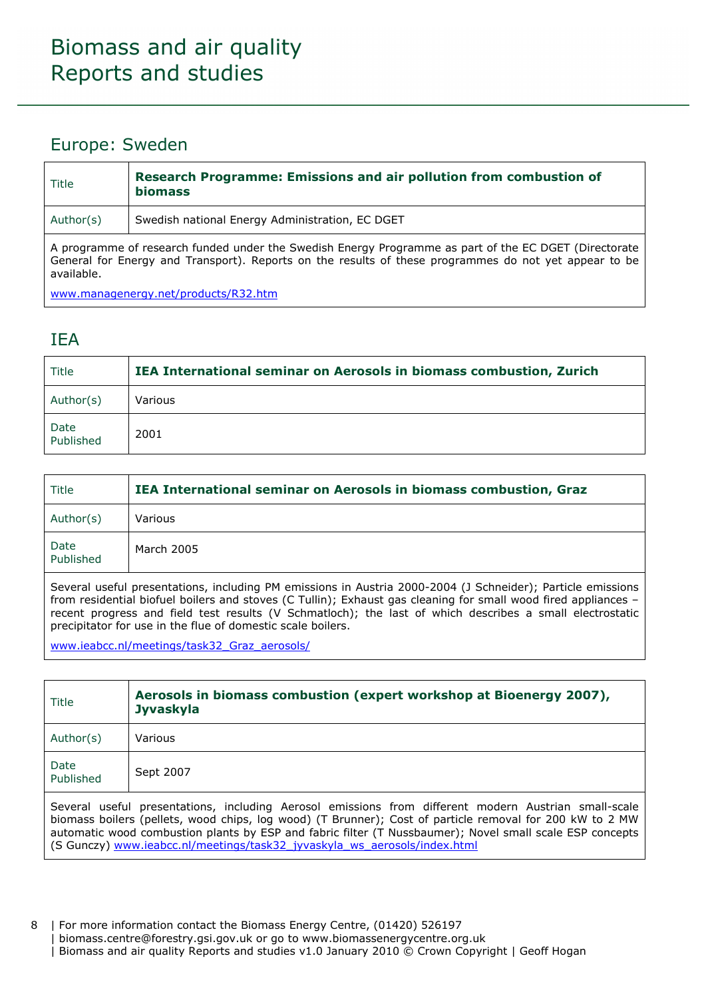#### Europe: Sweden

| Title     | Research Programme: Emissions and air pollution from combustion of<br><b>biomass</b>                                                                                                                           |
|-----------|----------------------------------------------------------------------------------------------------------------------------------------------------------------------------------------------------------------|
| Author(s) | Swedish national Energy Administration, EC DGET                                                                                                                                                                |
|           | A programme of research funded under the Swedish Energy Programme as part of the EC DGET (Directorate<br>Coneral for Energy and Transport). Departs on the results of these pregrammes do not yet appear to be |

General for Energy and Transport). Reports on the results of these programmes do not yet appear to be available.

www.managenergy.net/products/R32.htm

#### IEA

| Title             | IEA International seminar on Aerosols in biomass combustion, Zurich |
|-------------------|---------------------------------------------------------------------|
| Author(s)         | Various                                                             |
| Date<br>Published | 2001                                                                |

| Title             | IEA International seminar on Aerosols in biomass combustion, Graz |
|-------------------|-------------------------------------------------------------------|
| Author(s)         | Various                                                           |
| Date<br>Published | March 2005                                                        |

Several useful presentations, including PM emissions in Austria 2000-2004 (J Schneider); Particle emissions from residential biofuel boilers and stoves (C Tullin); Exhaust gas cleaning for small wood fired appliances – recent progress and field test results (V Schmatloch); the last of which describes a small electrostatic precipitator for use in the flue of domestic scale boilers.

www.ieabcc.nl/meetings/task32\_Graz\_aerosols/

| Title             | Aerosols in biomass combustion (expert workshop at Bioenergy 2007),<br><b>Jyvaskyla</b> |
|-------------------|-----------------------------------------------------------------------------------------|
| Author(s)         | Various                                                                                 |
| Date<br>Published | Sept 2007                                                                               |

Several useful presentations, including Aerosol emissions from different modern Austrian small-scale biomass boilers (pellets, wood chips, log wood) (T Brunner); Cost of particle removal for 200 kW to 2 MW automatic wood combustion plants by ESP and fabric filter (T Nussbaumer); Novel small scale ESP concepts (S Gunczy) www.ieabcc.nl/meetings/task32\_jyvaskyla\_ws\_aerosols/index.html

8 | For more information contact the Biomass Energy Centre, (01420) 526197 | biomass.centre@forestry.gsi.gov.uk or go to www.biomassenergycentre.org.uk | Biomass and air quality Reports and studies v1.0 January 2010 © Crown Copyright | Geoff Hogan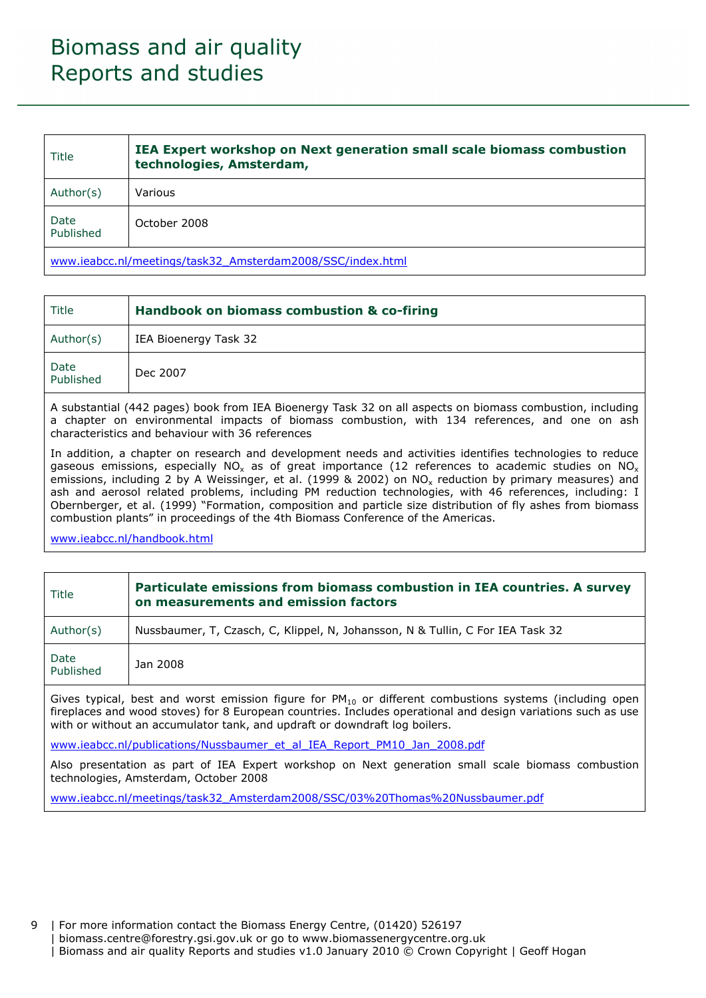| Title             | IEA Expert workshop on Next generation small scale biomass combustion<br>technologies, Amsterdam, |
|-------------------|---------------------------------------------------------------------------------------------------|
| Author(s)         | Various                                                                                           |
| Date<br>Published | October 2008                                                                                      |
|                   |                                                                                                   |

www.ieabcc.nl/meetings/task32\_Amsterdam2008/SSC/index.html

| Title             | Handbook on biomass combustion & co-firing |
|-------------------|--------------------------------------------|
| Author(s)         | IEA Bioenergy Task 32                      |
| Date<br>Published | Dec 2007                                   |

A substantial (442 pages) book from IEA Bioenergy Task 32 on all aspects on biomass combustion, including a chapter on environmental impacts of biomass combustion, with 134 references, and one on ash characteristics and behaviour with 36 references

In addition, a chapter on research and development needs and activities identifies technologies to reduce gaseous emissions, especially NO<sub>x</sub> as of great importance (12 references to academic studies on NO<sub>x</sub> emissions, including 2 by A Weissinger, et al. (1999 & 2002) on NO<sub>x</sub> reduction by primary measures) and ash and aerosol related problems, including PM reduction technologies, with 46 references, including: I Obernberger, et al. (1999) "Formation, composition and particle size distribution of fly ashes from biomass combustion plants" in proceedings of the 4th Biomass Conference of the Americas.

www.ieabcc.nl/handbook.html

| Title                                                                                                                                                                                                                                                                                                      | Particulate emissions from biomass combustion in IEA countries. A survey<br>on measurements and emission factors |
|------------------------------------------------------------------------------------------------------------------------------------------------------------------------------------------------------------------------------------------------------------------------------------------------------------|------------------------------------------------------------------------------------------------------------------|
| Author(s)                                                                                                                                                                                                                                                                                                  | Nussbaumer, T, Czasch, C, Klippel, N, Johansson, N & Tullin, C For IEA Task 32                                   |
| Date<br>Published                                                                                                                                                                                                                                                                                          | Jan 2008                                                                                                         |
| Gives typical, best and worst emission figure for $PM_{10}$ or different combustions systems (including open<br>fireplaces and wood stoves) for 8 European countries. Includes operational and design variations such as use<br>with or without an accumulator tank, and updraft or downdraft log boilers. |                                                                                                                  |
| www.ieabcc.nl/publications/Nussbaumer et al IEA Report PM10 Jan 2008.pdf                                                                                                                                                                                                                                   |                                                                                                                  |
| Also presentation as part of IEA Expert workshop on Next generation small scale biomass combustion<br>technologies, Amsterdam, October 2008                                                                                                                                                                |                                                                                                                  |

www.ieabcc.nl/meetings/task32\_Amsterdam2008/SSC/03%20Thomas%20Nussbaumer.pdf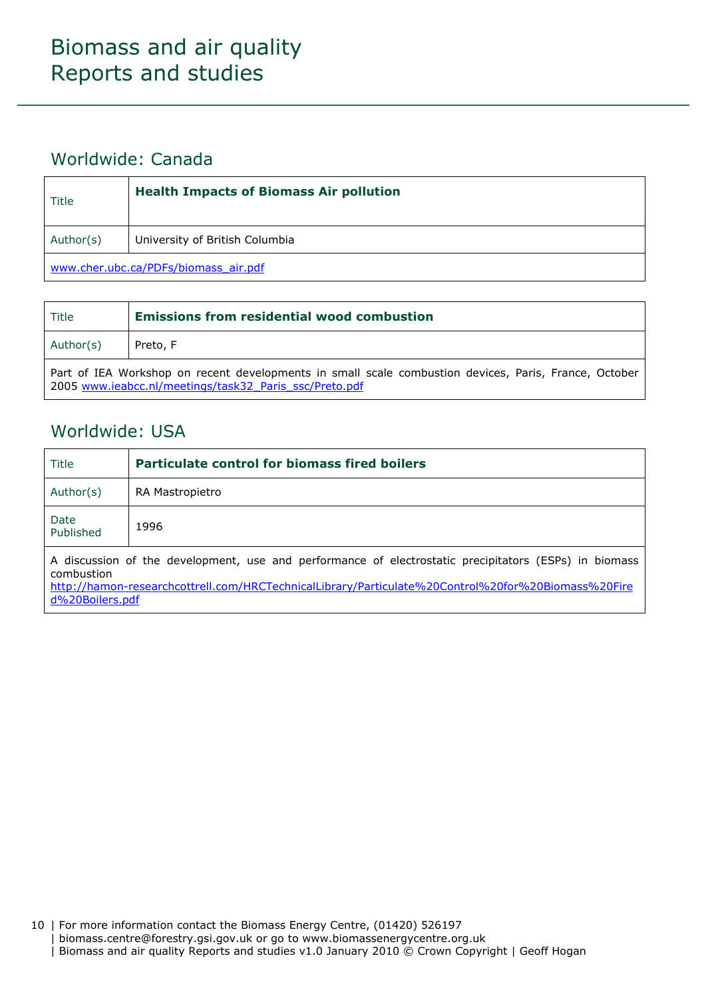### Worldwide: Canada

| Title                                | <b>Health Impacts of Biomass Air pollution</b> |
|--------------------------------------|------------------------------------------------|
| Author(s)                            | University of British Columbia                 |
| www.cher.ubc.ca/PDFs/biomass_air.pdf |                                                |

| Title                                                                                                                                                           | <b>Emissions from residential wood combustion</b> |
|-----------------------------------------------------------------------------------------------------------------------------------------------------------------|---------------------------------------------------|
| Author(s)                                                                                                                                                       | Preto, F                                          |
| Part of IEA Workshop on recent developments in small scale combustion devices, Paris, France, October<br>2005 www.ieabcc.nl/meetings/task32 Paris ssc/Preto.pdf |                                                   |

### Worldwide: USA

| Title                                                                                                               | <b>Particulate control for biomass fired boilers</b> |
|---------------------------------------------------------------------------------------------------------------------|------------------------------------------------------|
| Author(s)                                                                                                           | RA Mastropietro                                      |
| Date<br>Published                                                                                                   | 1996                                                 |
| A discussion of the development, use and performance of electrostatic precipitators (ESPs) in biomass<br>combustion |                                                      |

http://hamon-researchcottrell.com/HRCTechnicalLibrary/Particulate%20Control%20for%20Biomass%20Fire d%20Boilers.pdf